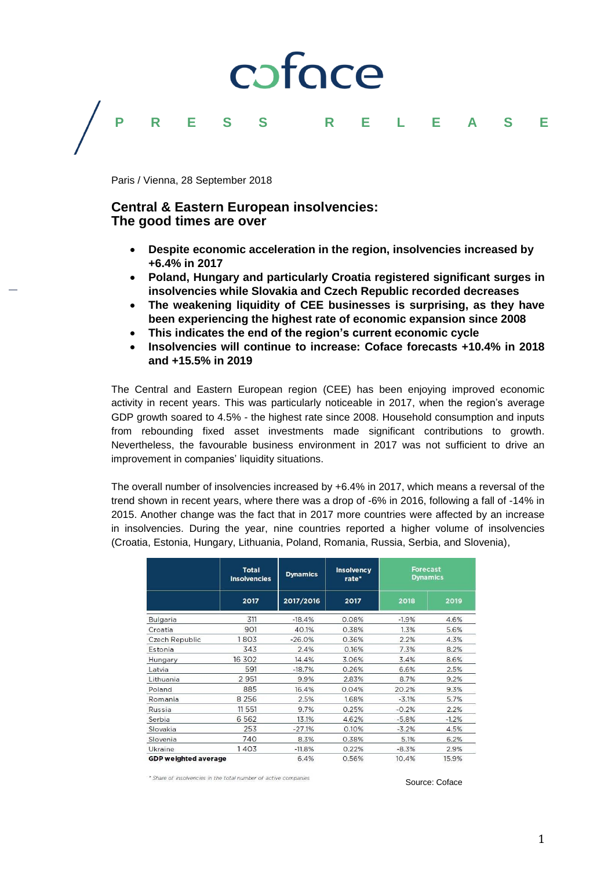# coface



### **Central & Eastern European insolvencies: The good times are over**

 **Despite economic acceleration in the region, insolvencies increased by +6.4% in 2017**

**PRESS RELEASE**

- **Poland, Hungary and particularly Croatia registered significant surges in insolvencies while Slovakia and Czech Republic recorded decreases**
- **The weakening liquidity of CEE businesses is surprising, as they have been experiencing the highest rate of economic expansion since 2008**
- **This indicates the end of the region's current economic cycle**
- **Insolvencies will continue to increase: Coface forecasts +10.4% in 2018 and +15.5% in 2019**

The Central and Eastern European region (CEE) has been enjoying improved economic activity in recent years. This was particularly noticeable in 2017, when the region's average GDP growth soared to 4.5% - the highest rate since 2008. Household consumption and inputs from rebounding fixed asset investments made significant contributions to growth. Nevertheless, the favourable business environment in 2017 was not sufficient to drive an improvement in companies' liquidity situations.

The overall number of insolvencies increased by +6.4% in 2017, which means a reversal of the trend shown in recent years, where there was a drop of -6% in 2016, following a fall of -14% in 2015. Another change was the fact that in 2017 more countries were affected by an increase in insolvencies. During the year, nine countries reported a higher volume of insolvencies (Croatia, Estonia, Hungary, Lithuania, Poland, Romania, Russia, Serbia, and Slovenia),

|                             | <b>Total</b><br><b>Insolvencies</b><br>2017 | <b>Dynamics</b><br>2017/2016 | <b>Insolvency</b><br>rate*<br>2017 | <b>Forecast</b><br><b>Dynamics</b> |         |
|-----------------------------|---------------------------------------------|------------------------------|------------------------------------|------------------------------------|---------|
|                             |                                             |                              |                                    | 2018                               | 2019    |
| Bulgaria                    | 311                                         | $-18.4%$                     | 0.08%                              | $-1.9%$                            | 4.6%    |
| Croatia                     | 901                                         | 40.1%                        | 0.38%                              | 1.3%                               | 5.6%    |
| Czech Republic              | 1803                                        | $-26.0%$                     | 0.36%                              | 2.2%                               | 4.3%    |
| Estonia                     | 343                                         | 2.4%                         | 0.16%                              | 7.3%                               | 8.2%    |
| Hungary                     | 16 302                                      | 14.4%                        | 3.06%                              | 3.4%                               | 8.6%    |
| Latvia                      | 591                                         | $-18.7%$                     | 0.26%                              | 6.6%                               | 2.5%    |
| Lithuania                   | 2 9 5 1                                     | 9.9%                         | 2.83%                              | 8.7%                               | 9.2%    |
| Poland.                     | 885                                         | 16.4%                        | 0.04%                              | 20.2%                              | 9.3%    |
| Romania                     | 8 2 5 6                                     | 2.5%                         | 1.68%                              | $-3.1%$                            | 5.7%    |
| Russia                      | 11 551                                      | 9.7%                         | 0.25%                              | $-0.2%$                            | 2.2%    |
| Serbia                      | 6 5 6 2                                     | 13.1%                        | 4.62%                              | $-5.8%$                            | $-1.2%$ |
| Slovakia                    | 253                                         | $-27.1%$                     | 0.10%                              | $-3.2%$                            | 4.5%    |
| Slovenia                    | 740                                         | 8.3%                         | 0.38%                              | 5.1%                               | 6.2%    |
| Ukraine                     | 1403                                        | $-11.8%$                     | 0.22%                              | $-8.3%$                            | 2.9%    |
| <b>GDP weighted average</b> |                                             | 6.4%                         | 0.56%                              | 10.4%                              | 15.9%   |

\* Share of insolvencies in the total number of active companies

Source: Coface